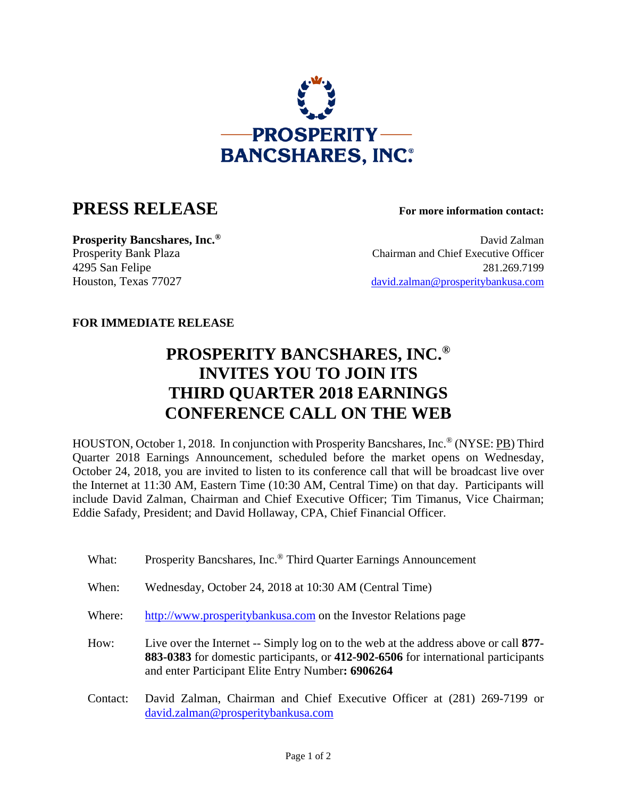

## **PRESS RELEASE For more information contact:**

**Prosperity Bancshares, Inc.<sup>®</sup> David Zalman** Prosperity Bank Plaza Chairman and Chief Executive Officer 4295 San Felipe 281.269.7199 Houston, Texas 77027 david.zalman@prosperitybankusa.com

## **FOR IMMEDIATE RELEASE**

## **PROSPERITY BANCSHARES, INC.® INVITES YOU TO JOIN ITS THIRD QUARTER 2018 EARNINGS CONFERENCE CALL ON THE WEB**

HOUSTON, October 1, 2018. In conjunction with Prosperity Bancshares, Inc.® (NYSE: PB) Third Quarter 2018 Earnings Announcement, scheduled before the market opens on Wednesday, October 24, 2018, you are invited to listen to its conference call that will be broadcast live over the Internet at 11:30 AM, Eastern Time (10:30 AM, Central Time) on that day. Participants will include David Zalman, Chairman and Chief Executive Officer; Tim Timanus, Vice Chairman; Eddie Safady, President; and David Hollaway, CPA, Chief Financial Officer.

- What: Prosperity Bancshares, Inc.<sup>®</sup> Third Quarter Earnings Announcement
- When: Wednesday, October 24, 2018 at 10:30 AM (Central Time)
- Where: http://www.prosperitybankusa.com on the Investor Relations page

 How: Live over the Internet -- Simply log on to the web at the address above or call **877- 883-0383** for domestic participants, or **412-902-6506** for international participants and enter Participant Elite Entry Number**: 6906264**

 Contact: David Zalman, Chairman and Chief Executive Officer at (281) 269-7199 or david.zalman@prosperitybankusa.com